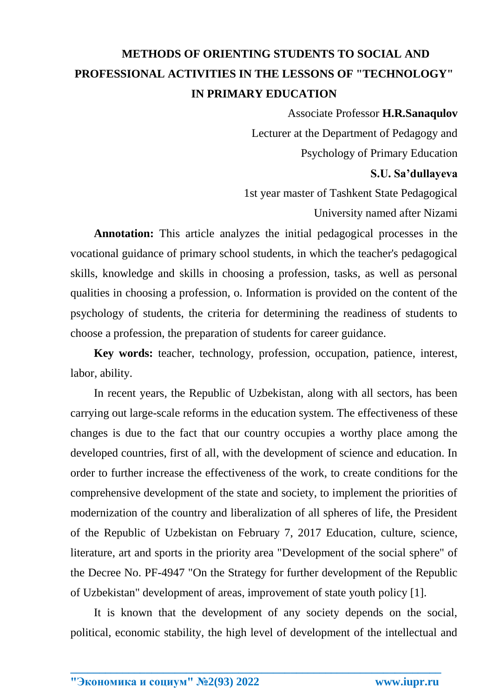## **METHODS OF ORIENTING STUDENTS TO SOCIAL AND PROFESSIONAL ACTIVITIES IN THE LESSONS OF "TECHNOLOGY" IN PRIMARY EDUCATION**

Associate Professor **H.R.Sanaqulov** Lecturer at the Department of Pedagogy and Psychology of Primary Education **S.U. Sa'dullayeva** 1st year master of Tashkent State Pedagogical

University named after Nizami

**Annotation:** This article analyzes the initial pedagogical processes in the vocational guidance of primary school students, in which the teacher's pedagogical skills, knowledge and skills in choosing a profession, tasks, as well as personal qualities in choosing a profession, o. Information is provided on the content of the psychology of students, the criteria for determining the readiness of students to choose a profession, the preparation of students for career guidance.

**Key words:** teacher, technology, profession, occupation, patience, interest, labor, ability.

In recent years, the Republic of Uzbekistan, along with all sectors, has been carrying out large-scale reforms in the education system. The effectiveness of these changes is due to the fact that our country occupies a worthy place among the developed countries, first of all, with the development of science and education. In order to further increase the effectiveness of the work, to create conditions for the comprehensive development of the state and society, to implement the priorities of modernization of the country and liberalization of all spheres of life, the President of the Republic of Uzbekistan on February 7, 2017 Education, culture, science, literature, art and sports in the priority area "Development of the social sphere" of the Decree No. PF-4947 "On the Strategy for further development of the Republic of Uzbekistan" development of areas, improvement of state youth policy [1].

It is known that the development of any society depends on the social, political, economic stability, the high level of development of the intellectual and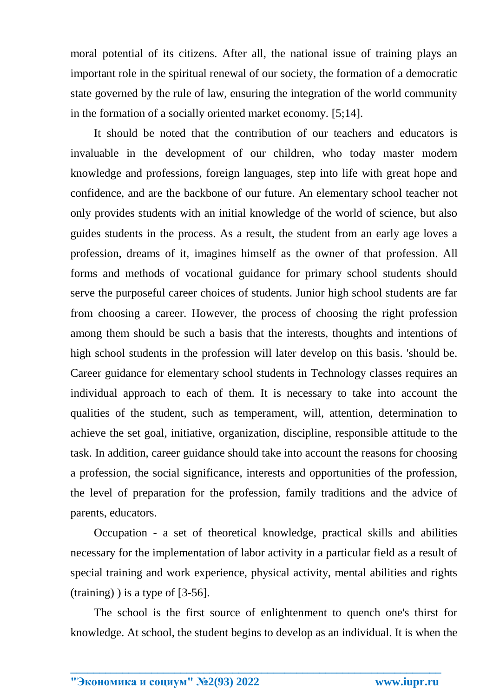moral potential of its citizens. After all, the national issue of training plays an important role in the spiritual renewal of our society, the formation of a democratic state governed by the rule of law, ensuring the integration of the world community in the formation of a socially oriented market economy. [5;14].

It should be noted that the contribution of our teachers and educators is invaluable in the development of our children, who today master modern knowledge and professions, foreign languages, step into life with great hope and confidence, and are the backbone of our future. An elementary school teacher not only provides students with an initial knowledge of the world of science, but also guides students in the process. As a result, the student from an early age loves a profession, dreams of it, imagines himself as the owner of that profession. All forms and methods of vocational guidance for primary school students should serve the purposeful career choices of students. Junior high school students are far from choosing a career. However, the process of choosing the right profession among them should be such a basis that the interests, thoughts and intentions of high school students in the profession will later develop on this basis. 'should be. Career guidance for elementary school students in Technology classes requires an individual approach to each of them. It is necessary to take into account the qualities of the student, such as temperament, will, attention, determination to achieve the set goal, initiative, organization, discipline, responsible attitude to the task. In addition, career guidance should take into account the reasons for choosing a profession, the social significance, interests and opportunities of the profession, the level of preparation for the profession, family traditions and the advice of parents, educators.

Occupation - a set of theoretical knowledge, practical skills and abilities necessary for the implementation of labor activity in a particular field as a result of special training and work experience, physical activity, mental abilities and rights (training) ) is a type of [3-56].

The school is the first source of enlightenment to quench one's thirst for knowledge. At school, the student begins to develop as an individual. It is when the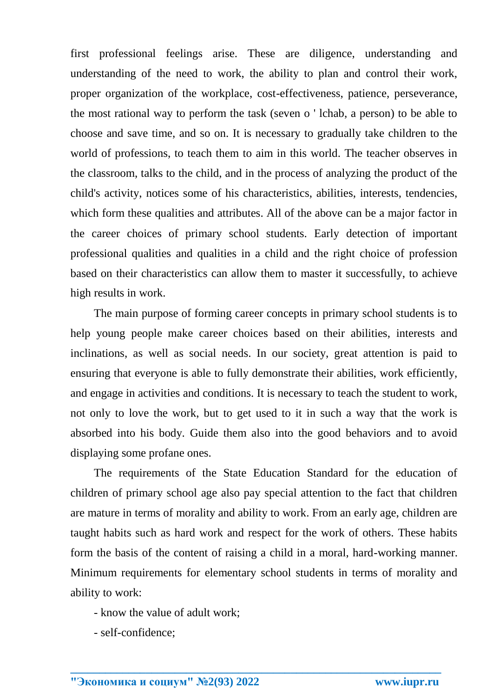first professional feelings arise. These are diligence, understanding and understanding of the need to work, the ability to plan and control their work, proper organization of the workplace, cost-effectiveness, patience, perseverance, the most rational way to perform the task (seven o ' lchab, a person) to be able to choose and save time, and so on. It is necessary to gradually take children to the world of professions, to teach them to aim in this world. The teacher observes in the classroom, talks to the child, and in the process of analyzing the product of the child's activity, notices some of his characteristics, abilities, interests, tendencies, which form these qualities and attributes. All of the above can be a major factor in the career choices of primary school students. Early detection of important professional qualities and qualities in a child and the right choice of profession based on their characteristics can allow them to master it successfully, to achieve high results in work.

The main purpose of forming career concepts in primary school students is to help young people make career choices based on their abilities, interests and inclinations, as well as social needs. In our society, great attention is paid to ensuring that everyone is able to fully demonstrate their abilities, work efficiently, and engage in activities and conditions. It is necessary to teach the student to work, not only to love the work, but to get used to it in such a way that the work is absorbed into his body. Guide them also into the good behaviors and to avoid displaying some profane ones.

The requirements of the State Education Standard for the education of children of primary school age also pay special attention to the fact that children are mature in terms of morality and ability to work. From an early age, children are taught habits such as hard work and respect for the work of others. These habits form the basis of the content of raising a child in a moral, hard-working manner. Minimum requirements for elementary school students in terms of morality and ability to work:

- know the value of adult work;
- self-confidence;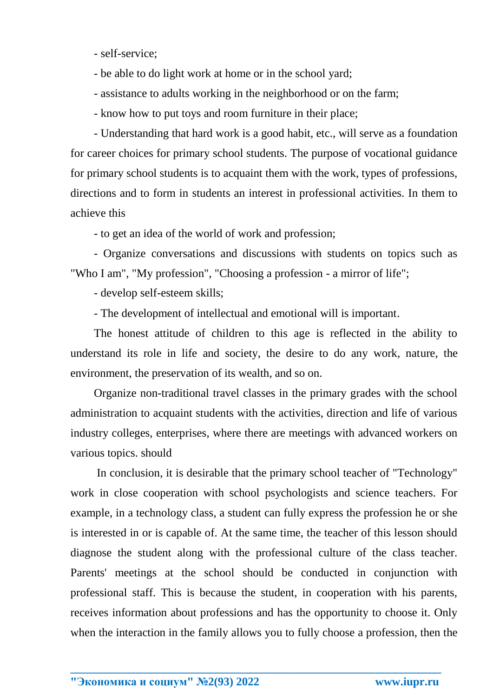- self-service;
- be able to do light work at home or in the school yard;
- assistance to adults working in the neighborhood or on the farm;
- know how to put toys and room furniture in their place;

- Understanding that hard work is a good habit, etc., will serve as a foundation for career choices for primary school students. The purpose of vocational guidance for primary school students is to acquaint them with the work, types of professions, directions and to form in students an interest in professional activities. In them to achieve this

- to get an idea of the world of work and profession;

- Organize conversations and discussions with students on topics such as "Who I am", "My profession", "Choosing a profession - a mirror of life";

- develop self-esteem skills;

- The development of intellectual and emotional will is important.

The honest attitude of children to this age is reflected in the ability to understand its role in life and society, the desire to do any work, nature, the environment, the preservation of its wealth, and so on.

Organize non-traditional travel classes in the primary grades with the school administration to acquaint students with the activities, direction and life of various industry colleges, enterprises, where there are meetings with advanced workers on various topics. should

In conclusion, it is desirable that the primary school teacher of "Technology" work in close cooperation with school psychologists and science teachers. For example, in a technology class, a student can fully express the profession he or she is interested in or is capable of. At the same time, the teacher of this lesson should diagnose the student along with the professional culture of the class teacher. Parents' meetings at the school should be conducted in conjunction with professional staff. This is because the student, in cooperation with his parents, receives information about professions and has the opportunity to choose it. Only when the interaction in the family allows you to fully choose a profession, then the